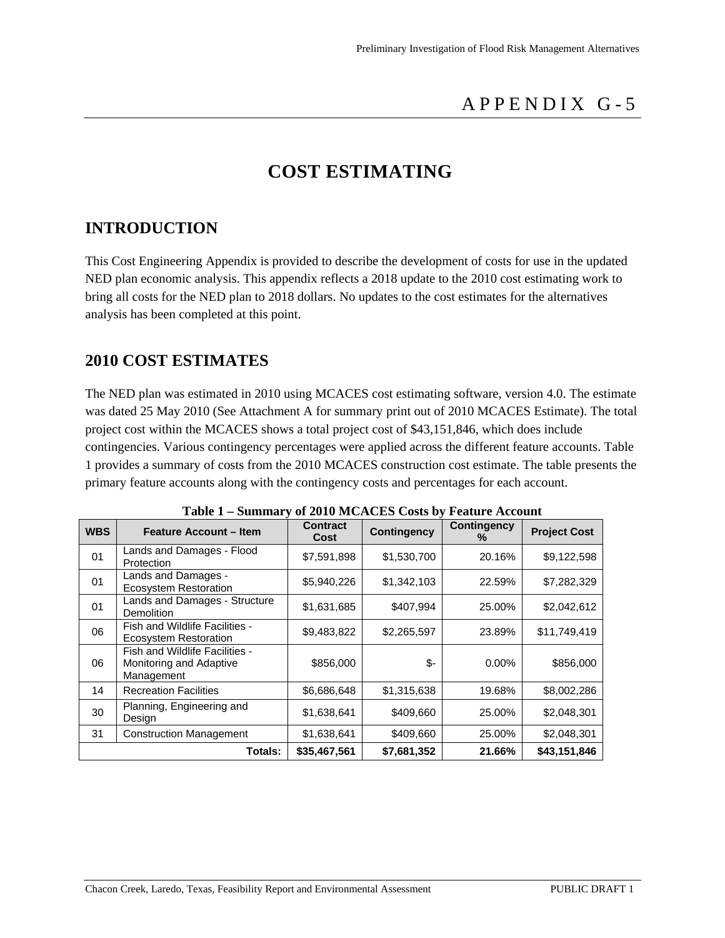## APPENDIX G-5

## **COST ESTIMATING**

### **INTRODUCTION**

This Cost Engineering Appendix is provided to describe the development of costs for use in the updated NED plan economic analysis. This appendix reflects a 2018 update to the 2010 cost estimating work to bring all costs for the NED plan to 2018 dollars. No updates to the cost estimates for the alternatives analysis has been completed at this point.

### **2010 COST ESTIMATES**

The NED plan was estimated in 2010 using MCACES cost estimating software, version 4.0. The estimate was dated 25 May 2010 (See Attachment A for summary print out of 2010 MCACES Estimate). The total project cost within the MCACES shows a total project cost of \$43,151,846, which does include contingencies. Various contingency percentages were applied across the different feature accounts. Table 1 provides a summary of costs from the 2010 MCACES construction cost estimate. The table presents the primary feature accounts along with the contingency costs and percentages for each account.

| <b>WBS</b> | <b>Feature Account - Item</b>                                           | <b>Contract</b><br>Cost | <b>Contingency</b> | <b>Contingency</b><br>℅ | <b>Project Cost</b> |  |  |
|------------|-------------------------------------------------------------------------|-------------------------|--------------------|-------------------------|---------------------|--|--|
| 01         | Lands and Damages - Flood<br>Protection                                 | \$7,591,898             | \$1,530,700        | 20.16%                  | \$9,122,598         |  |  |
| 01         | Lands and Damages -<br><b>Ecosystem Restoration</b>                     | \$5,940,226             | \$1,342,103        | 22.59%                  | \$7,282,329         |  |  |
| 01         | Lands and Damages - Structure<br>Demolition                             | \$1,631,685             | \$407,994          | 25.00%                  | \$2,042,612         |  |  |
| 06         | Fish and Wildlife Facilities -<br><b>Ecosystem Restoration</b>          | \$9,483,822             | \$2,265,597        | 23.89%                  | \$11,749,419        |  |  |
| 06         | Fish and Wildlife Facilities -<br>Monitoring and Adaptive<br>Management | \$856,000               | \$-                | $0.00\%$                | \$856,000           |  |  |
| 14         | <b>Recreation Facilities</b>                                            | \$6,686,648             | \$1,315,638        | 19.68%                  | \$8,002,286         |  |  |
| 30         | Planning, Engineering and<br>Design                                     | \$1,638,641             | \$409,660          | 25.00%                  | \$2,048,301         |  |  |
| 31         | <b>Construction Management</b>                                          | \$1,638,641             | \$409,660          | 25.00%                  | \$2,048,301         |  |  |
|            | \$35,467,561<br>\$7,681,352<br>\$43,151,846<br>21.66%<br>Totals:        |                         |                    |                         |                     |  |  |

**Table 1 – Summary of 2010 MCACES Costs by Feature Account**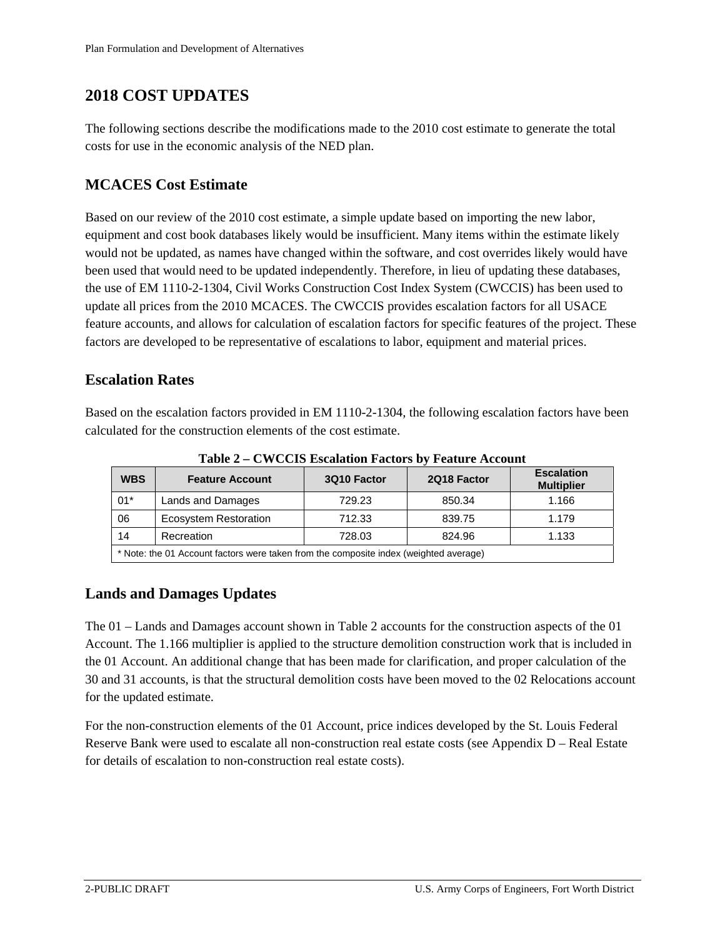### **2018 COST UPDATES**

The following sections describe the modifications made to the 2010 cost estimate to generate the total costs for use in the economic analysis of the NED plan.

#### **MCACES Cost Estimate**

Based on our review of the 2010 cost estimate, a simple update based on importing the new labor, equipment and cost book databases likely would be insufficient. Many items within the estimate likely would not be updated, as names have changed within the software, and cost overrides likely would have been used that would need to be updated independently. Therefore, in lieu of updating these databases, the use of EM 1110-2-1304, Civil Works Construction Cost Index System (CWCCIS) has been used to update all prices from the 2010 MCACES. The CWCCIS provides escalation factors for all USACE feature accounts, and allows for calculation of escalation factors for specific features of the project. These factors are developed to be representative of escalations to labor, equipment and material prices.

#### **Escalation Rates**

Based on the escalation factors provided in EM 1110-2-1304, the following escalation factors have been calculated for the construction elements of the cost estimate.

| Table $2 - C$ M CCLD Escalation Factors by Feature Account                            |                              |             |             |                                        |  |  |  |
|---------------------------------------------------------------------------------------|------------------------------|-------------|-------------|----------------------------------------|--|--|--|
| <b>WBS</b>                                                                            | <b>Feature Account</b>       | 3Q10 Factor | 2Q18 Factor | <b>Escalation</b><br><b>Multiplier</b> |  |  |  |
| $01*$                                                                                 | Lands and Damages            | 729.23      | 850.34      | 1.166                                  |  |  |  |
| 06                                                                                    | <b>Ecosystem Restoration</b> | 712.33      | 839.75      | 1.179                                  |  |  |  |
| 14                                                                                    | Recreation                   | 728.03      | 824.96      | 1.133                                  |  |  |  |
| * Note: the 01 Account factors were taken from the composite index (weighted average) |                              |             |             |                                        |  |  |  |

**Table 2 – CWCCIS Escalation Factors by Feature Account** 

#### **Lands and Damages Updates**

The 01 – Lands and Damages account shown in Table 2 accounts for the construction aspects of the 01 Account. The 1.166 multiplier is applied to the structure demolition construction work that is included in the 01 Account. An additional change that has been made for clarification, and proper calculation of the 30 and 31 accounts, is that the structural demolition costs have been moved to the 02 Relocations account for the updated estimate.

For the non-construction elements of the 01 Account, price indices developed by the St. Louis Federal Reserve Bank were used to escalate all non-construction real estate costs (see Appendix D – Real Estate for details of escalation to non-construction real estate costs).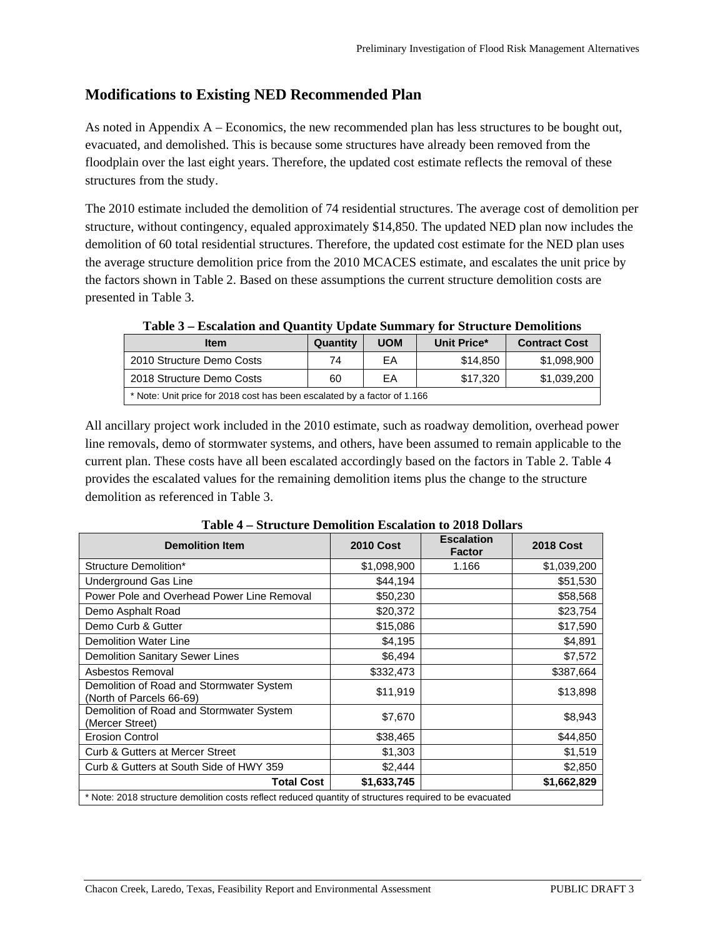#### **Modifications to Existing NED Recommended Plan**

As noted in Appendix A – Economics, the new recommended plan has less structures to be bought out, evacuated, and demolished. This is because some structures have already been removed from the floodplain over the last eight years. Therefore, the updated cost estimate reflects the removal of these structures from the study.

The 2010 estimate included the demolition of 74 residential structures. The average cost of demolition per structure, without contingency, equaled approximately \$14,850. The updated NED plan now includes the demolition of 60 total residential structures. Therefore, the updated cost estimate for the NED plan uses the average structure demolition price from the 2010 MCACES estimate, and escalates the unit price by the factors shown in Table 2. Based on these assumptions the current structure demolition costs are presented in Table 3.

| <b>Item</b>                                                              | Quantity | <b>UOM</b> | Unit Price* | <b>Contract Cost</b> |  |  |  |
|--------------------------------------------------------------------------|----------|------------|-------------|----------------------|--|--|--|
| 2010 Structure Demo Costs                                                | 74       | ЕA         | \$14,850    | \$1,098,900          |  |  |  |
| 2018 Structure Demo Costs                                                | 60       | ЕA         | \$17,320    | \$1,039,200          |  |  |  |
| * Note: Unit price for 2018 cost has been escalated by a factor of 1.166 |          |            |             |                      |  |  |  |

**Table 3 – Escalation and Quantity Update Summary for Structure Demolitions** 

All ancillary project work included in the 2010 estimate, such as roadway demolition, overhead power line removals, demo of stormwater systems, and others, have been assumed to remain applicable to the current plan. These costs have all been escalated accordingly based on the factors in Table 2. Table 4 provides the escalated values for the remaining demolition items plus the change to the structure demolition as referenced in Table 3.

| <b>Demolition Item</b>                                                                                  | <b>2010 Cost</b> | <b>Escalation</b><br><b>Factor</b> | <b>2018 Cost</b> |  |  |  |  |
|---------------------------------------------------------------------------------------------------------|------------------|------------------------------------|------------------|--|--|--|--|
| Structure Demolition*                                                                                   | \$1,098,900      | 1.166                              | \$1,039,200      |  |  |  |  |
| Underground Gas Line                                                                                    | \$44,194         |                                    | \$51,530         |  |  |  |  |
| Power Pole and Overhead Power Line Removal                                                              | \$50,230         |                                    | \$58,568         |  |  |  |  |
| Demo Asphalt Road                                                                                       | \$20,372         |                                    | \$23,754         |  |  |  |  |
| Demo Curb & Gutter                                                                                      | \$15,086         |                                    | \$17,590         |  |  |  |  |
| <b>Demolition Water Line</b>                                                                            | \$4,195          |                                    | \$4,891          |  |  |  |  |
| <b>Demolition Sanitary Sewer Lines</b>                                                                  | \$6,494          |                                    | \$7,572          |  |  |  |  |
| Asbestos Removal                                                                                        | \$332,473        |                                    | \$387,664        |  |  |  |  |
| Demolition of Road and Stormwater System<br>(North of Parcels 66-69)                                    | \$11,919         |                                    | \$13,898         |  |  |  |  |
| Demolition of Road and Stormwater System<br>(Mercer Street)                                             | \$7,670          |                                    | \$8,943          |  |  |  |  |
| <b>Erosion Control</b>                                                                                  | \$38,465         |                                    | \$44,850         |  |  |  |  |
| <b>Curb &amp; Gutters at Mercer Street</b>                                                              | \$1,303          |                                    | \$1,519          |  |  |  |  |
| Curb & Gutters at South Side of HWY 359                                                                 | \$2,444          |                                    | \$2,850          |  |  |  |  |
| <b>Total Cost</b>                                                                                       | \$1,633,745      |                                    | \$1,662,829      |  |  |  |  |
| * Note: 2018 structure demolition costs reflect reduced quantity of structures required to be evacuated |                  |                                    |                  |  |  |  |  |

**Table 4 – Structure Demolition Escalation to 2018 Dollars**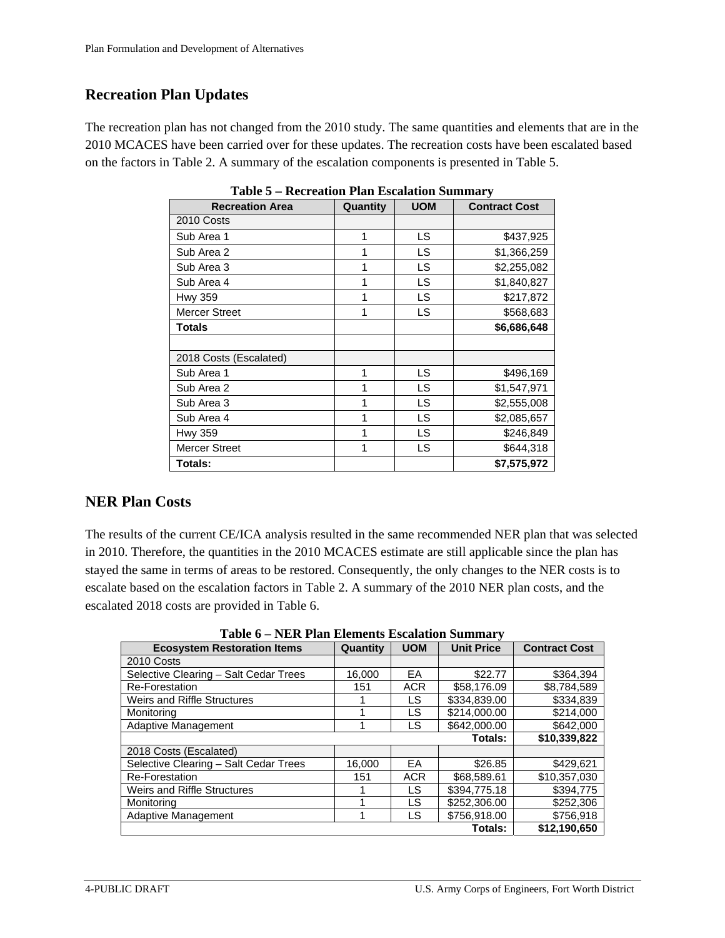#### **Recreation Plan Updates**

The recreation plan has not changed from the 2010 study. The same quantities and elements that are in the 2010 MCACES have been carried over for these updates. The recreation costs have been escalated based on the factors in Table 2. A summary of the escalation components is presented in Table 5.

| <b>Recreation Area</b> | Quantity | n 1 km Locanuon ounnum<br><b>UOM</b> | <b>Contract Cost</b> |  |  |
|------------------------|----------|--------------------------------------|----------------------|--|--|
| 2010 Costs             |          |                                      |                      |  |  |
| Sub Area 1             | 1        | LS                                   | \$437,925            |  |  |
| Sub Area 2             |          | LS                                   | \$1,366,259          |  |  |
| Sub Area 3             |          | LS                                   | \$2,255,082          |  |  |
| Sub Area 4             | 1        | LS                                   | \$1,840,827          |  |  |
| <b>Hwy 359</b>         | 1        | LS                                   | \$217,872            |  |  |
| <b>Mercer Street</b>   | 1        | LS                                   | \$568,683            |  |  |
| <b>Totals</b>          |          |                                      | \$6,686,648          |  |  |
|                        |          |                                      |                      |  |  |
| 2018 Costs (Escalated) |          |                                      |                      |  |  |
| Sub Area 1             | 1        | <b>LS</b>                            | \$496,169            |  |  |
| Sub Area 2             | 1        | LS                                   | \$1,547,971          |  |  |
| Sub Area 3             | 1        | LS                                   | \$2,555,008          |  |  |
| Sub Area 4             | 1        | LS                                   | \$2,085,657          |  |  |
| Hwy 359                | 1        | LS.                                  | \$246,849            |  |  |
| <b>Mercer Street</b>   | 1        | LS                                   | \$644,318            |  |  |
| Totals:                |          |                                      | \$7,575,972          |  |  |

**Table 5 – Recreation Plan Escalation Summary** 

#### **NER Plan Costs**

The results of the current CE/ICA analysis resulted in the same recommended NER plan that was selected in 2010. Therefore, the quantities in the 2010 MCACES estimate are still applicable since the plan has stayed the same in terms of areas to be restored. Consequently, the only changes to the NER costs is to escalate based on the escalation factors in Table 2. A summary of the 2010 NER plan costs, and the escalated 2018 costs are provided in Table 6.

**Table 6 – NER Plan Elements Escalation Summary** 

| <b>Ecosystem Restoration Items</b>    | Quantity | <b>UOM</b> | <b>Unit Price</b> | <b>Contract Cost</b> |  |
|---------------------------------------|----------|------------|-------------------|----------------------|--|
| 2010 Costs                            |          |            |                   |                      |  |
| Selective Clearing - Salt Cedar Trees | 16,000   | EA         | \$22.77           | \$364,394            |  |
| Re-Forestation                        | 151      | <b>ACR</b> | \$58,176.09       | \$8,784,589          |  |
| Weirs and Riffle Structures           |          | LS         | \$334,839,00      | \$334,839            |  |
| Monitorina                            |          | LS         | \$214,000.00      | \$214,000            |  |
| Adaptive Management                   | 4        | LS.        | \$642,000.00      | \$642,000            |  |
|                                       |          |            | Totals:           | \$10,339,822         |  |
| 2018 Costs (Escalated)                |          |            |                   |                      |  |
| Selective Clearing - Salt Cedar Trees | 16,000   | EA         | \$26.85           | \$429.621            |  |
| <b>Re-Forestation</b>                 | 151      | <b>ACR</b> | \$68,589.61       | \$10.357.030         |  |
| Weirs and Riffle Structures           |          | LS         | \$394,775.18      | \$394,775            |  |
| Monitorina                            |          | LS         | \$252,306.00      | \$252.306            |  |
| Adaptive Management                   |          | LS         | \$756,918.00      | \$756,918            |  |
|                                       |          |            | Totals:           | \$12,190,650         |  |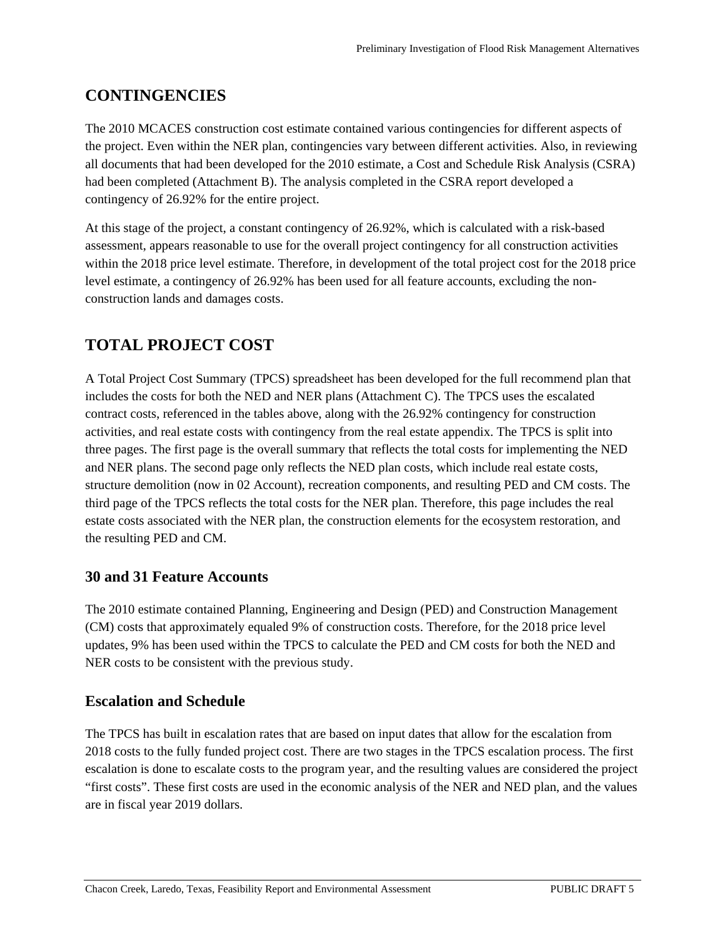## **CONTINGENCIES**

The 2010 MCACES construction cost estimate contained various contingencies for different aspects of the project. Even within the NER plan, contingencies vary between different activities. Also, in reviewing all documents that had been developed for the 2010 estimate, a Cost and Schedule Risk Analysis (CSRA) had been completed (Attachment B). The analysis completed in the CSRA report developed a contingency of 26.92% for the entire project.

At this stage of the project, a constant contingency of 26.92%, which is calculated with a risk-based assessment, appears reasonable to use for the overall project contingency for all construction activities within the 2018 price level estimate. Therefore, in development of the total project cost for the 2018 price level estimate, a contingency of 26.92% has been used for all feature accounts, excluding the nonconstruction lands and damages costs.

## **TOTAL PROJECT COST**

A Total Project Cost Summary (TPCS) spreadsheet has been developed for the full recommend plan that includes the costs for both the NED and NER plans (Attachment C). The TPCS uses the escalated contract costs, referenced in the tables above, along with the 26.92% contingency for construction activities, and real estate costs with contingency from the real estate appendix. The TPCS is split into three pages. The first page is the overall summary that reflects the total costs for implementing the NED and NER plans. The second page only reflects the NED plan costs, which include real estate costs, structure demolition (now in 02 Account), recreation components, and resulting PED and CM costs. The third page of the TPCS reflects the total costs for the NER plan. Therefore, this page includes the real estate costs associated with the NER plan, the construction elements for the ecosystem restoration, and the resulting PED and CM.

### **30 and 31 Feature Accounts**

The 2010 estimate contained Planning, Engineering and Design (PED) and Construction Management (CM) costs that approximately equaled 9% of construction costs. Therefore, for the 2018 price level updates, 9% has been used within the TPCS to calculate the PED and CM costs for both the NED and NER costs to be consistent with the previous study.

#### **Escalation and Schedule**

The TPCS has built in escalation rates that are based on input dates that allow for the escalation from 2018 costs to the fully funded project cost. There are two stages in the TPCS escalation process. The first escalation is done to escalate costs to the program year, and the resulting values are considered the project "first costs". These first costs are used in the economic analysis of the NER and NED plan, and the values are in fiscal year 2019 dollars.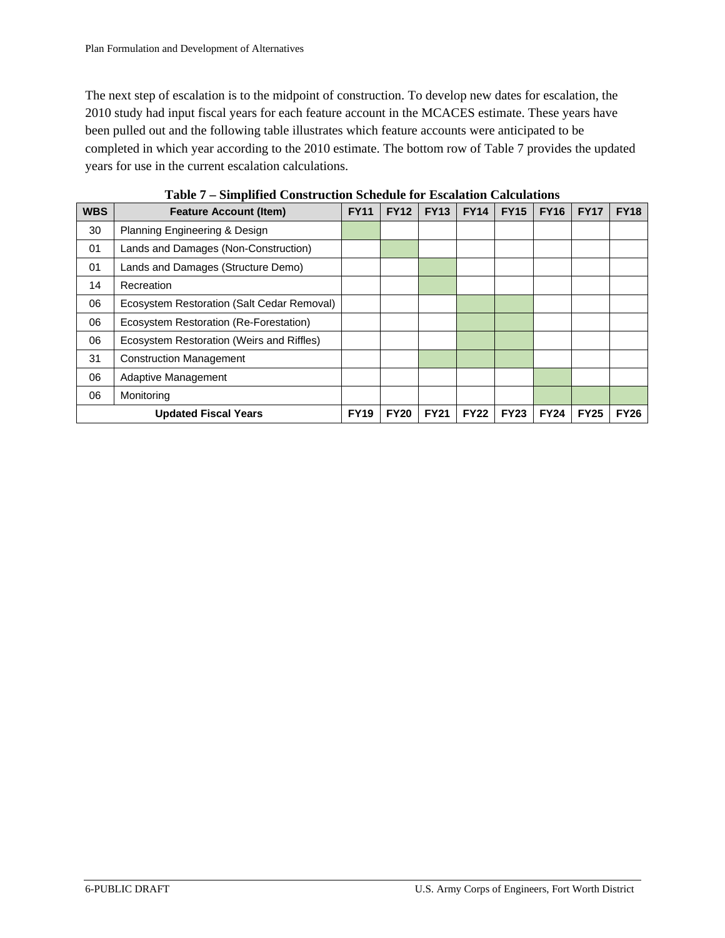The next step of escalation is to the midpoint of construction. To develop new dates for escalation, the 2010 study had input fiscal years for each feature account in the MCACES estimate. These years have been pulled out and the following table illustrates which feature accounts were anticipated to be completed in which year according to the 2010 estimate. The bottom row of Table 7 provides the updated years for use in the current escalation calculations.

|            | <u> 1 aprel – Shiibiintu Constitution Stiituuri for Estaiation Caltulations</u> |             |             |             |             |             |             |             |             |
|------------|---------------------------------------------------------------------------------|-------------|-------------|-------------|-------------|-------------|-------------|-------------|-------------|
| <b>WBS</b> | <b>Feature Account (Item)</b>                                                   | <b>FY11</b> | <b>FY12</b> | <b>FY13</b> | <b>FY14</b> | <b>FY15</b> | <b>FY16</b> | <b>FY17</b> | <b>FY18</b> |
| 30         | Planning Engineering & Design                                                   |             |             |             |             |             |             |             |             |
| 01         | Lands and Damages (Non-Construction)                                            |             |             |             |             |             |             |             |             |
| 01         | Lands and Damages (Structure Demo)                                              |             |             |             |             |             |             |             |             |
| 14         | Recreation                                                                      |             |             |             |             |             |             |             |             |
| 06         | Ecosystem Restoration (Salt Cedar Removal)                                      |             |             |             |             |             |             |             |             |
| 06         | Ecosystem Restoration (Re-Forestation)                                          |             |             |             |             |             |             |             |             |
| 06         | Ecosystem Restoration (Weirs and Riffles)                                       |             |             |             |             |             |             |             |             |
| 31         | <b>Construction Management</b>                                                  |             |             |             |             |             |             |             |             |
| 06         | Adaptive Management                                                             |             |             |             |             |             |             |             |             |
| 06         | Monitoring                                                                      |             |             |             |             |             |             |             |             |
|            | <b>Updated Fiscal Years</b>                                                     |             |             | <b>FY21</b> | <b>FY22</b> | <b>FY23</b> | <b>FY24</b> | <b>FY25</b> | <b>FY26</b> |

**Table 7 – Simplified Construction Schedule for Escalation Calculations**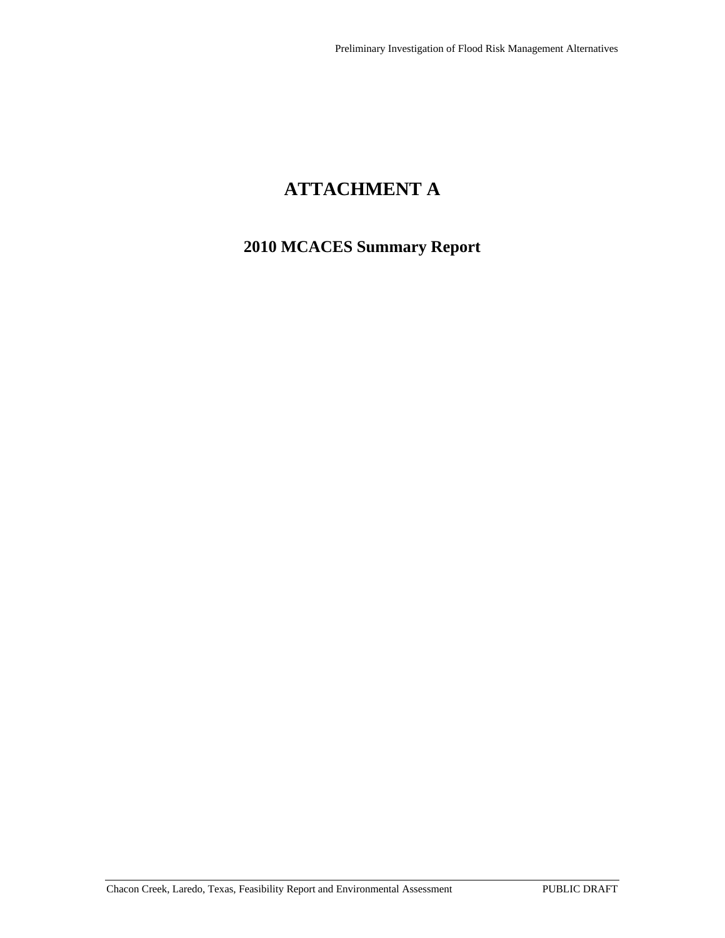# **ATTACHMENT A**

## **2010 MCACES Summary Report**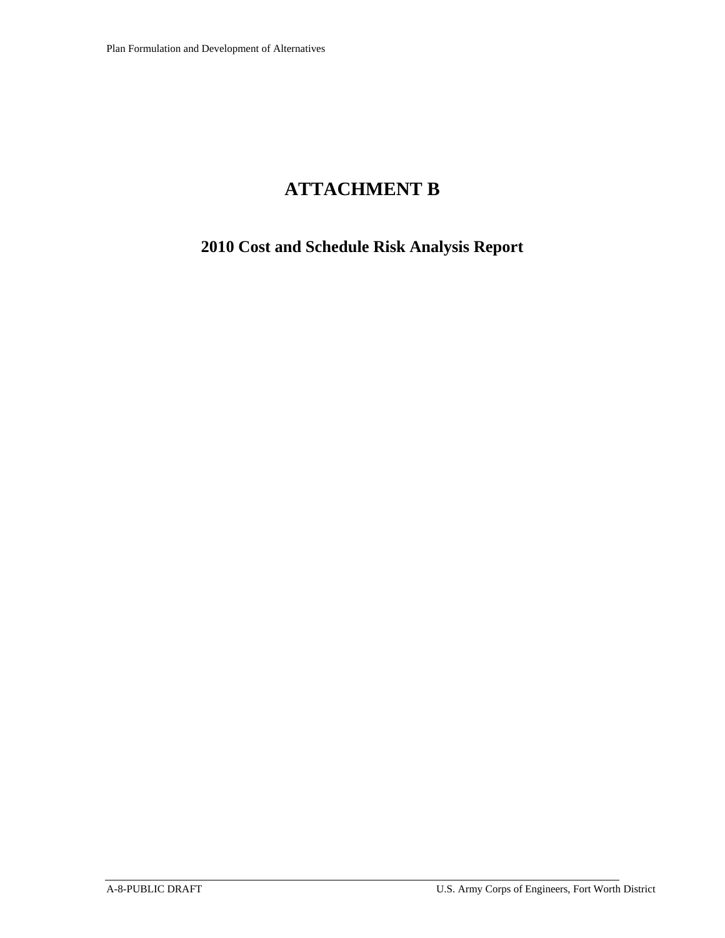## **ATTACHMENT B**

## **2010 Cost and Schedule Risk Analysis Report**